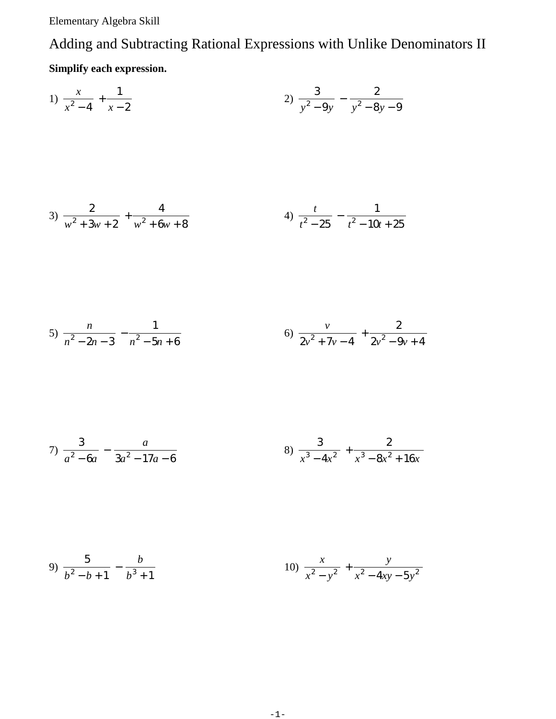Elementary Algebra Skill

Adding and Subtracting Rational Expressions with Unlike Denominators II Simplify each expression.

1) 
$$
\frac{x}{x^2 - 4} + \frac{1}{x - 2}
$$
  
\n2)  $\frac{3}{y^2 - 9y} - \frac{2}{y^2 - 8y - 9}$   
\n3)  $\frac{2}{w^2 + 3w + 2} + \frac{4}{w^2 + 6w + 8}$   
\n4)  $\frac{t}{t^2 - 25} - \frac{1}{t^2 - 10t + 25}$   
\n5)  $\frac{n}{n^2 - 2n - 3} - \frac{1}{n^2 - 5n + 6}$   
\n6)  $\frac{v}{2v^2 + 7v - 4} + \frac{2}{2v^2 - 9v + 4}$ 

7) 
$$
\frac{3}{a^2 - 6a} - \frac{a}{3a^2 - 17a - 6}
$$
 8)  $\frac{3}{x^3 - 4x^2} + \frac{2}{x^3 - 8x^2 + 16x}$ 

9) 
$$
\frac{5}{b^2 - b + 1} - \frac{b}{b^3 + 1}
$$
   
10)  $\frac{x}{x^2 - y^2} + \frac{y}{x^2 - 4xy - 5y^2}$